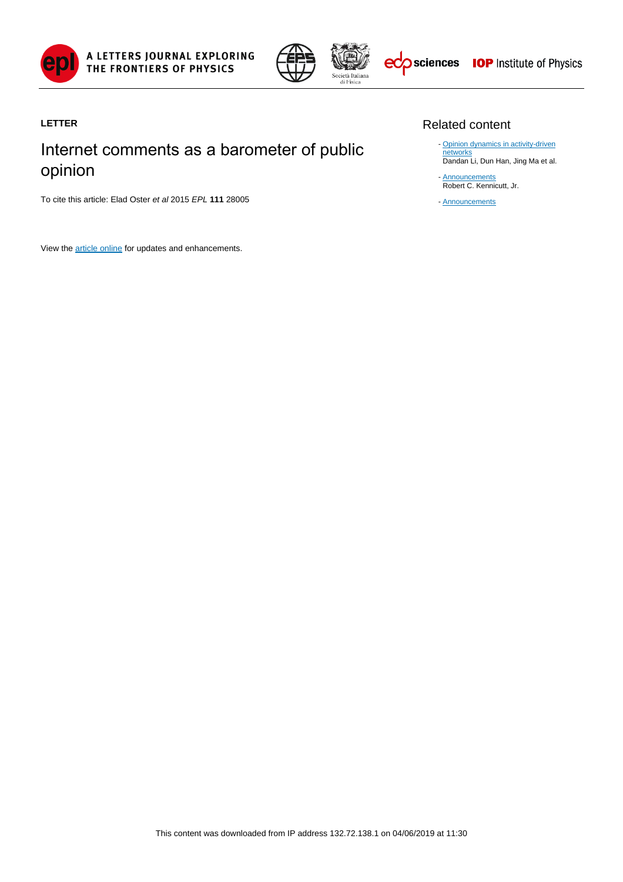



### **LETTER**

# Internet comments as a barometer of public opinion

To cite this article: Elad Oster et al 2015 EPL **111** 28005

View the [article online](https://doi.org/10.1209/0295-5075/111/28005) for updates and enhancements.

#### Related content

- [Opinion dynamics in activity-driven](http://iopscience.iop.org/article/10.1209/0295-5075/120/28002) [networks](http://iopscience.iop.org/article/10.1209/0295-5075/120/28002) Dandan Li, Dun Han, Jing Ma et al.
- **[Announcements](http://iopscience.iop.org/article/10.1086/308218)** Robert C. Kennicutt, Jr. -
- [Announcements](http://iopscience.iop.org/article/10.1088/0031-9112/17/11/001)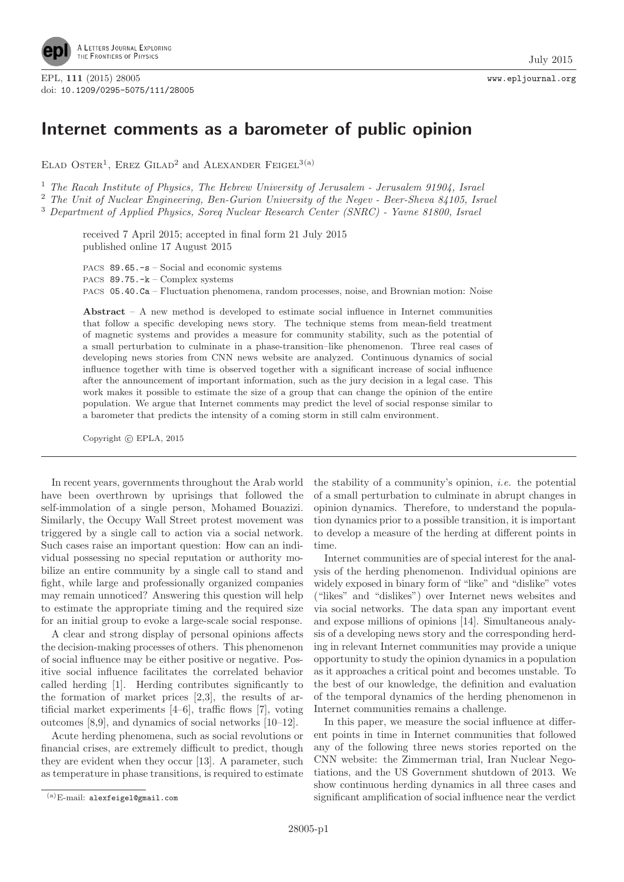

EPL, **111** (2015) 28005 www.epljournal.org doi: 10.1209/0295-5075/111/28005

## **Internet comments as a barometer of public opinion**

ELAD OSTER<sup>1</sup>, EREZ GILAD<sup>2</sup> and ALEXANDER FEIGEL<sup>3(a)</sup>

<sup>1</sup> The Racah Institute of Physics, The Hebrew University of Jerusalem - Jerusalem 91904, Israel

<sup>2</sup> The Unit of Nuclear Engineering, Ben-Gurion University of the Negev - Beer-Sheva 84105, Israel

<sup>3</sup> Department of Applied Physics, Soreq Nuclear Research Center (SNRC) - Yavne 81800, Israel

received 7 April 2015; accepted in final form 21 July 2015 published online 17 August 2015

PACS 89.65.-s – Social and economic systems

PACS 89.75.-k – Complex systems

PACS 05.40.Ca – Fluctuation phenomena, random processes, noise, and Brownian motion: Noise

**Abstract** – A new method is developed to estimate social influence in Internet communities that follow a specific developing news story. The technique stems from mean-field treatment of magnetic systems and provides a measure for community stability, such as the potential of a small perturbation to culminate in a phase-transition–like phenomenon. Three real cases of developing news stories from CNN news website are analyzed. Continuous dynamics of social influence together with time is observed together with a significant increase of social influence after the announcement of important information, such as the jury decision in a legal case. This work makes it possible to estimate the size of a group that can change the opinion of the entire population. We argue that Internet comments may predict the level of social response similar to a barometer that predicts the intensity of a coming storm in still calm environment.

Copyright © EPLA, 2015

In recent years, governments throughout the Arab world have been overthrown by uprisings that followed the self-immolation of a single person, Mohamed Bouazizi. Similarly, the Occupy Wall Street protest movement was triggered by a single call to action via a social network. Such cases raise an important question: How can an individual possessing no special reputation or authority mobilize an entire community by a single call to stand and fight, while large and professionally organized companies may remain unnoticed? Answering this question will help to estimate the appropriate timing and the required size for an initial group to evoke a large-scale social response.

A clear and strong display of personal opinions affects the decision-making processes of others. This phenomenon of social influence may be either positive or negative. Positive social influence facilitates the correlated behavior called herding [1]. Herding contributes significantly to the formation of market prices [2,3], the results of artificial market experiments [4–6], traffic flows [7], voting outcomes [8,9], and dynamics of social networks [10–12].

Acute herding phenomena, such as social revolutions or financial crises, are extremely difficult to predict, though they are evident when they occur [13]. A parameter, such as temperature in phase transitions, is required to estimate

the stability of a community's opinion, i.e. the potential of a small perturbation to culminate in abrupt changes in opinion dynamics. Therefore, to understand the population dynamics prior to a possible transition, it is important to develop a measure of the herding at different points in time.

Internet communities are of special interest for the analysis of the herding phenomenon. Individual opinions are widely exposed in binary form of "like" and "dislike" votes ("likes" and "dislikes") over Internet news websites and via social networks. The data span any important event and expose millions of opinions [14]. Simultaneous analysis of a developing news story and the corresponding herding in relevant Internet communities may provide a unique opportunity to study the opinion dynamics in a population as it approaches a critical point and becomes unstable. To the best of our knowledge, the definition and evaluation of the temporal dynamics of the herding phenomenon in Internet communities remains a challenge.

In this paper, we measure the social influence at different points in time in Internet communities that followed any of the following three news stories reported on the CNN website: the Zimmerman trial, Iran Nuclear Negotiations, and the US Government shutdown of 2013. We show continuous herding dynamics in all three cases and significant amplification of social influence near the verdict

<sup>(</sup>a)E-mail: alexfeigel@gmail.com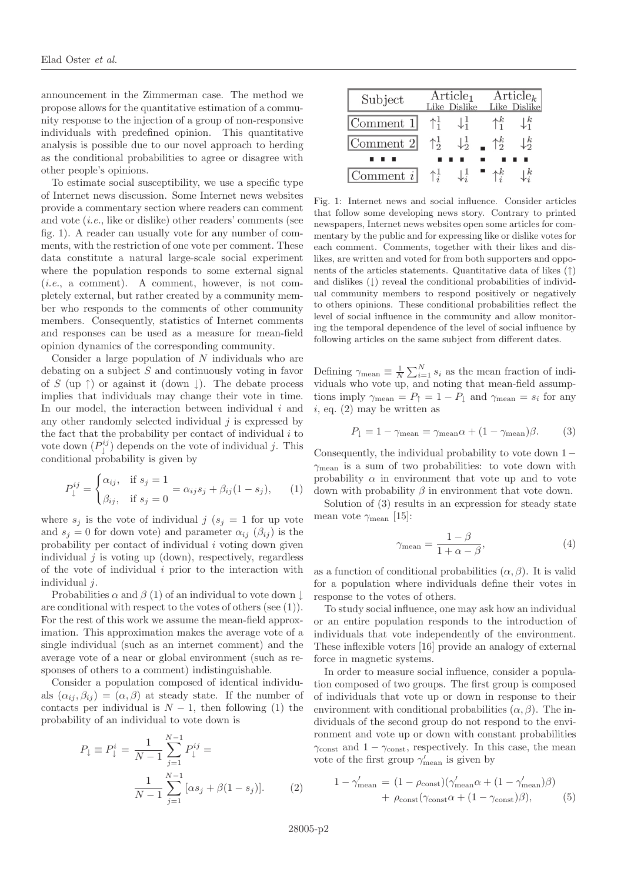announcement in the Zimmerman case. The method we propose allows for the quantitative estimation of a community response to the injection of a group of non-responsive individuals with predefined opinion. This quantitative analysis is possible due to our novel approach to herding as the conditional probabilities to agree or disagree with other people's opinions.

To estimate social susceptibility, we use a specific type of Internet news discussion. Some Internet news websites provide a commentary section where readers can comment and vote (i.e., like or dislike) other readers' comments (see fig. [1\)](#page-2-0). A reader can usually vote for any number of comments, with the restriction of one vote per comment. These data constitute a natural large-scale social experiment where the population responds to some external signal (i.e., a comment). A comment, however, is not completely external, but rather created by a community member who responds to the comments of other community members. Consequently, statistics of Internet comments and responses can be used as a measure for mean-field opinion dynamics of the corresponding community.

Consider a large population of  $N$  individuals who are debating on a subject S and continuously voting in favor of S (up  $\uparrow$ ) or against it (down  $\downarrow$ ). The debate process implies that individuals may change their vote in time. In our model, the interaction between individual  $i$  and any other randomly selected individual  $j$  is expressed by the fact that the probability per contact of individual  $i$  to vote down  $(P_{\downarrow}^{ij})$  depends on the vote of individual j. This conditional probability is given by

$$
P_{\downarrow}^{ij} = \begin{cases} \alpha_{ij}, & \text{if } s_j = 1 \\ \beta_{ij}, & \text{if } s_j = 0 \end{cases} = \alpha_{ij} s_j + \beta_{ij} (1 - s_j), \qquad (1)
$$

<span id="page-2-1"></span>where  $s_j$  is the vote of individual j  $(s_j = 1$  for up vote and  $s_i = 0$  for down vote) and parameter  $\alpha_{ij}$  ( $\beta_{ij}$ ) is the probability per contact of individual  $i$  voting down given individual  $j$  is voting up (down), respectively, regardless of the vote of individual  $i$  prior to the interaction with individual *i*.

Probabilities  $\alpha$  and  $\beta$  [\(1\)](#page-2-1) of an individual to vote down  $\downarrow$ are conditional with respect to the votes of others (see [\(1\)](#page-2-1)). For the rest of this work we assume the mean-field approximation. This approximation makes the average vote of a single individual (such as an internet comment) and the average vote of a near or global environment (such as responses of others to a comment) indistinguishable.

<span id="page-2-2"></span>Consider a population composed of identical individuals  $(\alpha_{ij}, \beta_{ij}) = (\alpha, \beta)$  at steady state. If the number of contacts per individual is  $N-1$ , then following [\(1\)](#page-2-1) the probability of an individual to vote down is

$$
P_{\downarrow} \equiv P_{\downarrow}^{i} = \frac{1}{N-1} \sum_{j=1}^{N-1} P_{\downarrow}^{ij} = \frac{1}{N-1} \sum_{j=1}^{N-1} [\alpha s_j + \beta (1 - s_j)].
$$
 (2)

| Subject                       |                | Article <sub>1</sub><br>Like Dislike | $Article_k$<br>Like Dislike |                  |  |
|-------------------------------|----------------|--------------------------------------|-----------------------------|------------------|--|
| $\lfloor$ Comment 1 $\rfloor$ |                | $\downarrow_1^1$                     | $\uparrow_1^k$              | $\downarrow_1^k$ |  |
| $\lfloor$ Comment 2 $\lfloor$ | $\uparrow^1_2$ | $\downarrow^{\frac{1}{2}}$           | $\uparrow^k_{2}$            | $\downarrow_2^k$ |  |
|                               |                |                                      |                             |                  |  |
| $\lfloor$ Comment i $\rfloor$ |                |                                      |                             |                  |  |

<span id="page-2-0"></span>Fig. 1: Internet news and social influence. Consider articles that follow some developing news story. Contrary to printed newspapers, Internet news websites open some articles for commentary by the public and for expressing like or dislike votes for each comment. Comments, together with their likes and dislikes, are written and voted for from both supporters and opponents of the articles statements. Quantitative data of likes (↑) and dislikes  $( )$  reveal the conditional probabilities of individual community members to respond positively or negatively to others opinions. These conditional probabilities reflect the level of social influence in the community and allow monitoring the temporal dependence of the level of social influence by following articles on the same subject from different dates.

Defining  $\gamma_{\text{mean}} \equiv \frac{1}{N} \sum_{i=1}^{N} s_i$  as the mean fraction of individuals who vote up, and noting that mean-field assumptions imply  $\gamma_{\text{mean}} = P_{\uparrow} = 1 - P_{\downarrow}$  and  $\gamma_{\text{mean}} = s_i$  for any  $i$ , eq. [\(2\)](#page-2-2) may be written as

$$
P_{\downarrow} = 1 - \gamma_{\text{mean}} = \gamma_{\text{mean}} \alpha + (1 - \gamma_{\text{mean}}) \beta. \tag{3}
$$

<span id="page-2-3"></span>Consequently, the individual probability to vote down 1−  $\gamma_{\text{mean}}$  is a sum of two probabilities: to vote down with probability  $\alpha$  in environment that vote up and to vote down with probability  $\beta$  in environment that vote down.

Solution of [\(3\)](#page-2-3) results in an expression for steady state mean vote  $\gamma_{\text{mean}}$  [15]:

$$
\gamma_{\text{mean}} = \frac{1 - \beta}{1 + \alpha - \beta},\tag{4}
$$

<span id="page-2-5"></span>as a function of conditional probabilities  $(\alpha, \beta)$ . It is valid for a population where individuals define their votes in response to the votes of others.

To study social influence, one may ask how an individual or an entire population responds to the introduction of individuals that vote independently of the environment. These inflexible voters [16] provide an analogy of external force in magnetic systems.

In order to measure social influence, consider a population composed of two groups. The first group is composed of individuals that vote up or down in response to their environment with conditional probabilities  $(\alpha, \beta)$ . The individuals of the second group do not respond to the environment and vote up or down with constant probabilities  $\gamma_{\mathrm{const}}$  and  $1-\gamma_{\mathrm{const}},$  respectively. In this case, the mean vote of the first group  $\gamma'_{\text{mean}}$  is given by

<span id="page-2-4"></span>
$$
1 - \gamma'_{\text{mean}} = (1 - \rho_{\text{const}})(\gamma'_{\text{mean}}\alpha + (1 - \gamma'_{\text{mean}})\beta) + \rho_{\text{const}}(\gamma_{\text{const}}\alpha + (1 - \gamma_{\text{const}})\beta),
$$
 (5)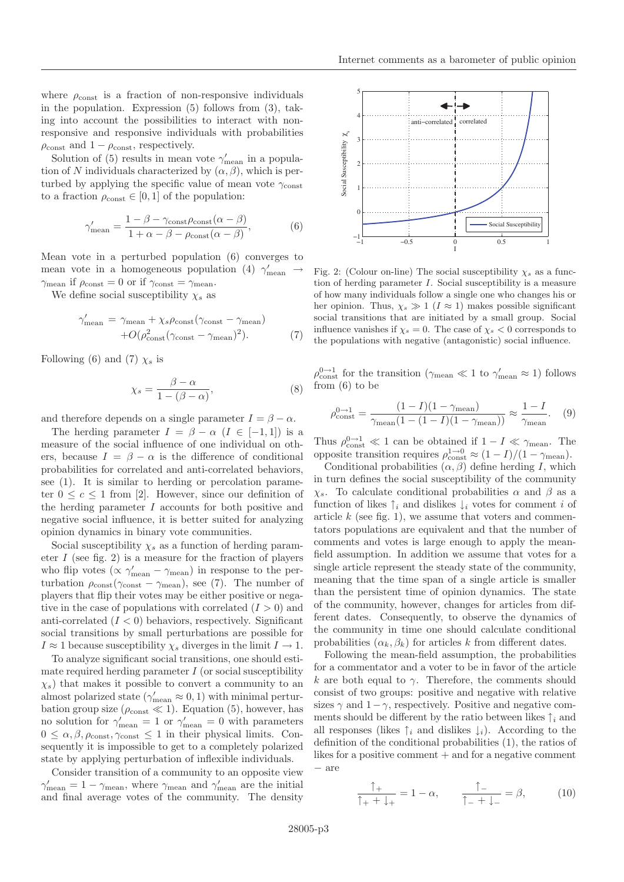where  $\rho_{\text{const}}$  is a fraction of non-responsive individuals in the population. Expression [\(5\)](#page-2-4) follows from [\(3\)](#page-2-3), taking into account the possibilities to interact with nonresponsive and responsive individuals with probabilities  $\rho_{\text{const}}$  and  $1 - \rho_{\text{const}}$ , respectively.

Solution of [\(5\)](#page-2-4) results in mean vote  $\gamma'_{\text{mean}}$  in a population of N individuals characterized by  $(\alpha, \beta)$ , which is perturbed by applying the specific value of mean vote  $\gamma_{\text{const}}$ to a fraction  $\rho_{\text{const}} \in [0,1]$  of the population:

$$
\gamma'_{\text{mean}} = \frac{1 - \beta - \gamma_{\text{const}} \rho_{\text{const}} (\alpha - \beta)}{1 + \alpha - \beta - \rho_{\text{const}} (\alpha - \beta)},
$$
(6)

<span id="page-3-0"></span>Mean vote in a perturbed population [\(6\)](#page-3-0) converges to mean vote in a homogeneous population [\(4\)](#page-2-5)  $\gamma'_{\text{mean}} \rightarrow$  $\gamma_{\text{mean}}$  if  $\rho_{\text{const}} = 0$  or if  $\gamma_{\text{const}} = \gamma_{\text{mean}}$ .

<span id="page-3-1"></span>We define social susceptibility  $\chi_s$  as

$$
\gamma'_{\text{mean}} = \gamma_{\text{mean}} + \chi_s \rho_{\text{const}} (\gamma_{\text{const}} - \gamma_{\text{mean}}) + O(\rho_{\text{const}}^2 (\gamma_{\text{const}} - \gamma_{\text{mean}})^2).
$$
(7)

Following [\(6\)](#page-3-0) and [\(7\)](#page-3-1)  $\chi_s$  is

$$
\chi_s = \frac{\beta - \alpha}{1 - (\beta - \alpha)},\tag{8}
$$

and therefore depends on a single parameter  $I = \beta - \alpha$ .

The herding parameter  $I = \beta - \alpha$   $(I \in [-1,1])$  is a measure of the social influence of one individual on others, because  $I = \beta - \alpha$  is the difference of conditional probabilities for correlated and anti-correlated behaviors, see [\(1\)](#page-2-1). It is similar to herding or percolation parameter  $0 \leq c \leq 1$  from [2]. However, since our definition of the herding parameter I accounts for both positive and negative social influence, it is better suited for analyzing opinion dynamics in binary vote communities.

Social susceptibility  $\chi_s$  as a function of herding parameter  $I$  (see fig. [2\)](#page-3-2) is a measure for the fraction of players who flip votes ( $\propto \gamma'_{\text{mean}} - \gamma_{\text{mean}}$ ) in response to the perturbation  $\rho_{\text{const}}(\gamma_{\text{const}} - \gamma_{\text{mean}})$ , see [\(7\)](#page-3-1). The number of players that flip their votes may be either positive or negative in the case of populations with correlated  $(I > 0)$  and anti-correlated  $(I < 0)$  behaviors, respectively. Significant social transitions by small perturbations are possible for  $I \approx 1$  because susceptibility  $\chi_s$  diverges in the limit  $I \to 1$ .

To analyze significant social transitions, one should estimate required herding parameter  $I$  (or social susceptibility  $\chi_s$ ) that makes it possible to convert a community to an almost polarized state  $(\gamma'_{\text{mean}} \approx 0, 1)$  with minimal perturbation group size ( $\rho_{\text{const}} \ll 1$ ). Equation [\(5\)](#page-2-4), however, has no solution for  $\gamma'_{\text{mean}} = 1$  or  $\gamma'_{\text{mean}} = 0$  with parameters  $0 \leq \alpha, \beta, \rho_{\text{const}}, \gamma_{\text{const}} \leq 1$  in their physical limits. Consequently it is impossible to get to a completely polarized state by applying perturbation of inflexible individuals.

Consider transition of a community to an opposite view  $\gamma'_{\text{mean}} = 1 - \gamma_{\text{mean}}$ , where  $\gamma_{\text{mean}}$  and  $\gamma'_{\text{mean}}$  are the initial and final average votes of the community. The density



<span id="page-3-2"></span>Fig. 2: (Colour on-line) The social susceptibility  $\chi_s$  as a function of herding parameter  $I$ . Social susceptibility is a measure of how many individuals follow a single one who changes his or her opinion. Thus,  $\chi_s \gg 1$  ( $I \approx 1$ ) makes possible significant social transitions that are initiated by a small group. Social influence vanishes if  $\chi_s = 0$ . The case of  $\chi_s < 0$  corresponds to the populations with negative (antagonistic) social influence.

 $\rho_{\text{const}}^{\text{0}\rightarrow 1}$  for the transition ( $\gamma_{\text{mean}} \ll 1$  to  $\gamma_{\text{mean}}' \approx 1$ ) follows from [\(6\)](#page-3-0) to be

$$
\rho_{\text{const}}^{\text{0}\to1} = \frac{(1-I)(1-\gamma_{\text{mean}})}{\gamma_{\text{mean}}(1-(1-I)(1-\gamma_{\text{mean}}))} \approx \frac{1-I}{\gamma_{\text{mean}}}.
$$
 (9)

Thus  $\rho_{\text{const}}^{0 \to 1} \ll 1$  can be obtained if  $1 - I \ll \gamma_{\text{mean}}$ . The opposite transition requires  $\rho_{\text{const}}^{1\to 0} \approx (1 - I)/(1 - \gamma_{\text{mean}})$ .

Conditional probabilities  $(\alpha, \beta)$  define herding I, which in turn defines the social susceptibility of the community χs. To calculate conditional probabilities α and β as a function of likes  $\uparrow_i$  and dislikes  $\downarrow_i$  votes for comment i of article  $k$  (see fig. [1\)](#page-2-0), we assume that voters and commentators populations are equivalent and that the number of comments and votes is large enough to apply the meanfield assumption. In addition we assume that votes for a single article represent the steady state of the community, meaning that the time span of a single article is smaller than the persistent time of opinion dynamics. The state of the community, however, changes for articles from different dates. Consequently, to observe the dynamics of the community in time one should calculate conditional probabilities  $(\alpha_k, \beta_k)$  for articles k from different dates.

Following the mean-field assumption, the probabilities for a commentator and a voter to be in favor of the article k are both equal to  $\gamma$ . Therefore, the comments should consist of two groups: positive and negative with relative sizes  $\gamma$  and  $1-\gamma$ , respectively. Positive and negative comments should be different by the ratio between likes  $\uparrow_i$  and all responses (likes  $\uparrow_i$  and dislikes  $\downarrow_i$ ). According to the definition of the conditional probabilities [\(1\)](#page-2-1), the ratios of likes for a positive comment  $+$  and for a negative comment − are

<span id="page-3-3"></span>
$$
\frac{\uparrow_{+}}{\uparrow_{+} + \downarrow_{+}} = 1 - \alpha, \qquad \frac{\uparrow_{-}}{\uparrow_{-} + \downarrow_{-}} = \beta, \tag{10}
$$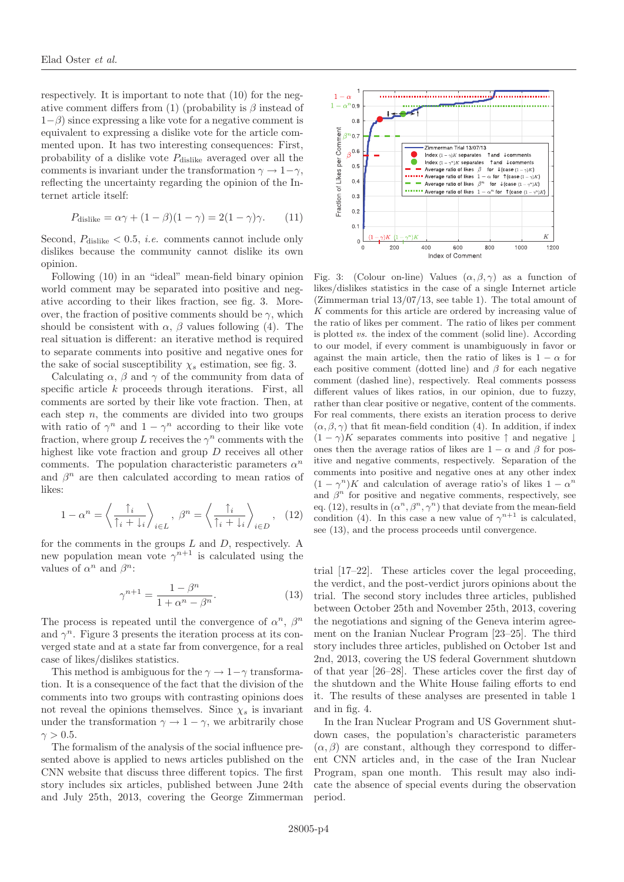respectively. It is important to note that [\(10\)](#page-3-3) for the neg-ative comment differs from [\(1\)](#page-2-1) (probability is  $\beta$  instead of  $1-\beta$ ) since expressing a like vote for a negative comment is equivalent to expressing a dislike vote for the article commented upon. It has two interesting consequences: First, probability of a dislike vote  $P_{\text{dislike}}$  averaged over all the comments is invariant under the transformation  $\gamma \to 1-\gamma$ , reflecting the uncertainty regarding the opinion of the Internet article itself:

$$
P_{\text{dislike}} = \alpha \gamma + (1 - \beta)(1 - \gamma) = 2(1 - \gamma)\gamma. \tag{11}
$$

Second,  $P_{\text{dislike}} < 0.5$ , *i.e.* comments cannot include only dislikes because the community cannot dislike its own opinion.

Following [\(10\)](#page-3-3) in an "ideal" mean-field binary opinion world comment may be separated into positive and negative according to their likes fraction, see fig. [3.](#page-4-0) Moreover, the fraction of positive comments should be  $\gamma$ , which should be consistent with  $\alpha$ ,  $\beta$  values following [\(4\)](#page-2-5). The real situation is different: an iterative method is required to separate comments into positive and negative ones for the sake of social susceptibility  $\chi_s$  estimation, see fig. [3.](#page-4-0)

Calculating  $\alpha$ ,  $\beta$  and  $\gamma$  of the community from data of specific article k proceeds through iterations. First, all comments are sorted by their like vote fraction. Then, at each step  $n$ , the comments are divided into two groups with ratio of  $\gamma^n$  and  $1 - \gamma^n$  according to their like vote fraction, where group L receives the  $\gamma^n$  comments with the highest like vote fraction and group D receives all other comments. The population characteristic parameters  $\alpha^n$ and  $\beta^n$  are then calculated according to mean ratios of likes:

$$
1 - \alpha^n = \left\langle \frac{\uparrow_i}{\uparrow_i + \downarrow_i} \right\rangle_{i \in L}, \ \beta^n = \left\langle \frac{\uparrow_i}{\uparrow_i + \downarrow_i} \right\rangle_{i \in D}, \ \ (12)
$$

<span id="page-4-1"></span>for the comments in the groups  $L$  and  $D$ , respectively. A new population mean vote  $\gamma^{n+1}$  is calculated using the values of  $\alpha^n$  and  $\beta^n$ :

$$
\gamma^{n+1} = \frac{1 - \beta^n}{1 + \alpha^n - \beta^n}.\tag{13}
$$

<span id="page-4-2"></span>The process is repeated until the convergence of  $\alpha^n$ ,  $\beta^n$ and  $\gamma^n$ . Figure [3](#page-4-0) presents the iteration process at its converged state and at a state far from convergence, for a real case of likes/dislikes statistics.

This method is ambiguous for the  $\gamma \to 1-\gamma$  transformation. It is a consequence of the fact that the division of the comments into two groups with contrasting opinions does not reveal the opinions themselves. Since  $\chi_s$  is invariant under the transformation  $\gamma \to 1 - \gamma$ , we arbitrarily chose  $\gamma > 0.5$ .

The formalism of the analysis of the social influence presented above is applied to news articles published on the CNN website that discuss three different topics. The first story includes six articles, published between June 24th and July 25th, 2013, covering the George Zimmerman



<span id="page-4-0"></span>Fig. 3: (Colour on-line) Values  $(\alpha, \beta, \gamma)$  as a function of likes/dislikes statistics in the case of a single Internet article (Zimmerman trial  $13/07/13$ , see table [1\)](#page-5-0). The total amount of K comments for this article are ordered by increasing value of the ratio of likes per comment. The ratio of likes per comment is plotted vs. the index of the comment (solid line). According to our model, if every comment is unambiguously in favor or against the main article, then the ratio of likes is  $1 - \alpha$  for each positive comment (dotted line) and  $\beta$  for each negative comment (dashed line), respectively. Real comments possess different values of likes ratios, in our opinion, due to fuzzy, rather than clear positive or negative, content of the comments. For real comments, there exists an iteration process to derive  $(\alpha, \beta, \gamma)$  that fit mean-field condition [\(4\)](#page-2-5). In addition, if index  $(1 - \gamma)K$  separates comments into positive  $\uparrow$  and negative  $\downarrow$ ones then the average ratios of likes are  $1 - \alpha$  and  $\beta$  for positive and negative comments, respectively. Separation of the comments into positive and negative ones at any other index  $(1 - \gamma^n)K$  and calculation of average ratio's of likes  $1 - \alpha^n$ and  $\beta^n$  for positive and negative comments, respectively, see eq. [\(12\)](#page-4-1), results in  $(\alpha^n, \beta^n, \gamma^n)$  that deviate from the mean-field condition [\(4\)](#page-2-5). In this case a new value of  $\gamma^{n+1}$  is calculated, see [\(13\)](#page-4-2), and the process proceeds until convergence.

trial [17–22]. These articles cover the legal proceeding, the verdict, and the post-verdict jurors opinions about the trial. The second story includes three articles, published between October 25th and November 25th, 2013, covering the negotiations and signing of the Geneva interim agreement on the Iranian Nuclear Program [23–25]. The third story includes three articles, published on October 1st and 2nd, 2013, covering the US federal Government shutdown of that year [26–28]. These articles cover the first day of the shutdown and the White House failing efforts to end it. The results of these analyses are presented in table [1](#page-5-0) and in fig. [4.](#page-5-1)

In the Iran Nuclear Program and US Government shutdown cases, the population's characteristic parameters  $(\alpha, \beta)$  are constant, although they correspond to different CNN articles and, in the case of the Iran Nuclear Program, span one month. This result may also indicate the absence of special events during the observation period.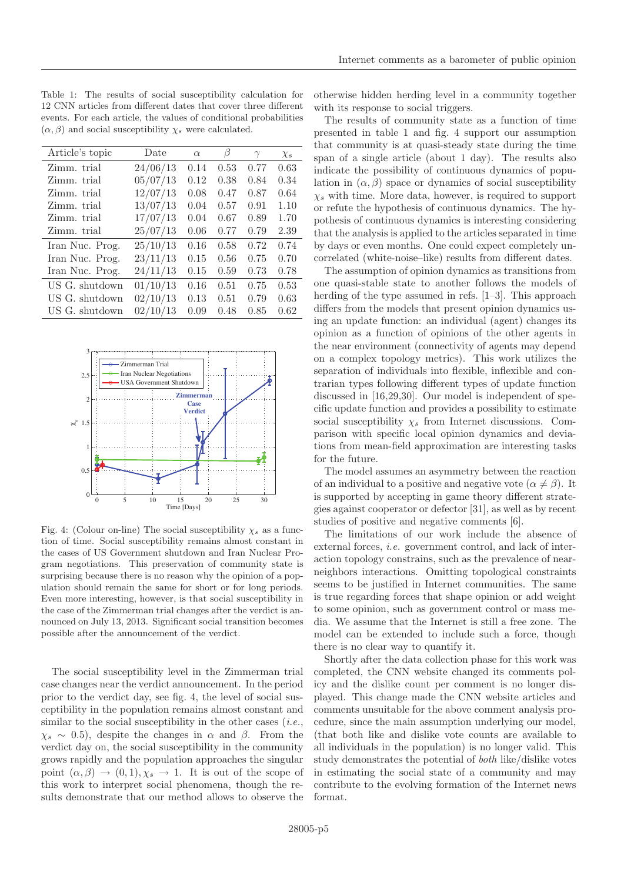<span id="page-5-0"></span>

| Article's topic | Date     | $\alpha$ | β    | $\gamma$ | $\chi_s$ |
|-----------------|----------|----------|------|----------|----------|
| Zimm. trial     | 24/06/13 | 0.14     | 0.53 | 0.77     | 0.63     |
| Zimm. trial     | 05/07/13 | 0.12     | 0.38 | 0.84     | 0.34     |
| Zimm. trial     | 12/07/13 | 0.08     | 0.47 | 0.87     | 0.64     |
| Zimm. trial     | 13/07/13 | 0.04     | 0.57 | 0.91     | 1.10     |
| Zimm. trial     | 17/07/13 | 0.04     | 0.67 | 0.89     | 1.70     |
| Zimm. trial     | 25/07/13 | 0.06     | 0.77 | 0.79     | 2.39     |
| Iran Nuc. Prog. | 25/10/13 | 0.16     | 0.58 | 0.72     | 0.74     |
| Iran Nuc. Prog. | 23/11/13 | 0.15     | 0.56 | 0.75     | 0.70     |
| Iran Nuc. Prog. | 24/11/13 | 0.15     | 0.59 | 0.73     | 0.78     |
| US G. shutdown  | 01/10/13 | 0.16     | 0.51 | 0.75     | 0.53     |
| US G. shutdown  | 02/10/13 | 0.13     | 0.51 | 0.79     | 0.63     |
| US G. shutdown  | 02/10/13 | 0.09     | 0.48 | 0.85     | 0.62     |



<span id="page-5-1"></span>Fig. 4: (Colour on-line) The social susceptibility  $\chi_s$  as a function of time. Social susceptibility remains almost constant in the cases of US Government shutdown and Iran Nuclear Program negotiations. This preservation of community state is surprising because there is no reason why the opinion of a population should remain the same for short or for long periods. Even more interesting, however, is that social susceptibility in the case of the Zimmerman trial changes after the verdict is announced on July 13, 2013. Significant social transition becomes possible after the announcement of the verdict.

The social susceptibility level in the Zimmerman trial case changes near the verdict announcement. In the period prior to the verdict day, see fig. [4,](#page-5-1) the level of social susceptibility in the population remains almost constant and similar to the social susceptibility in the other cases  $(i.e.,$  $\chi_s \sim 0.5$ , despite the changes in  $\alpha$  and  $\beta$ . From the verdict day on, the social susceptibility in the community grows rapidly and the population approaches the singular point  $(\alpha, \beta) \rightarrow (0, 1), \chi_s \rightarrow 1$ . It is out of the scope of this work to interpret social phenomena, though the results demonstrate that our method allows to observe the otherwise hidden herding level in a community together with its response to social triggers.

The results of community state as a function of time presented in table [1](#page-5-0) and fig. [4](#page-5-1) support our assumption that community is at quasi-steady state during the time span of a single article (about 1 day). The results also indicate the possibility of continuous dynamics of population in  $(\alpha, \beta)$  space or dynamics of social susceptibility  $\chi_s$  with time. More data, however, is required to support or refute the hypothesis of continuous dynamics. The hypothesis of continuous dynamics is interesting considering that the analysis is applied to the articles separated in time by days or even months. One could expect completely uncorrelated (white-noise–like) results from different dates.

The assumption of opinion dynamics as transitions from one quasi-stable state to another follows the models of herding of the type assumed in refs. [1–3]. This approach differs from the models that present opinion dynamics using an update function: an individual (agent) changes its opinion as a function of opinions of the other agents in the near environment (connectivity of agents may depend on a complex topology metrics). This work utilizes the separation of individuals into flexible, inflexible and contrarian types following different types of update function discussed in [16,29,30]. Our model is independent of specific update function and provides a possibility to estimate social susceptibility  $\chi_s$  from Internet discussions. Comparison with specific local opinion dynamics and deviations from mean-field approximation are interesting tasks for the future.

The model assumes an asymmetry between the reaction of an individual to a positive and negative vote  $(\alpha \neq \beta)$ . It is supported by accepting in game theory different strategies against cooperator or defector [31], as well as by recent studies of positive and negative comments [6].

The limitations of our work include the absence of external forces, i.e. government control, and lack of interaction topology constrains, such as the prevalence of nearneighbors interactions. Omitting topological constraints seems to be justified in Internet communities. The same is true regarding forces that shape opinion or add weight to some opinion, such as government control or mass media. We assume that the Internet is still a free zone. The model can be extended to include such a force, though there is no clear way to quantify it.

Shortly after the data collection phase for this work was completed, the CNN website changed its comments policy and the dislike count per comment is no longer displayed. This change made the CNN website articles and comments unsuitable for the above comment analysis procedure, since the main assumption underlying our model, (that both like and dislike vote counts are available to all individuals in the population) is no longer valid. This study demonstrates the potential of both like/dislike votes in estimating the social state of a community and may contribute to the evolving formation of the Internet news format.